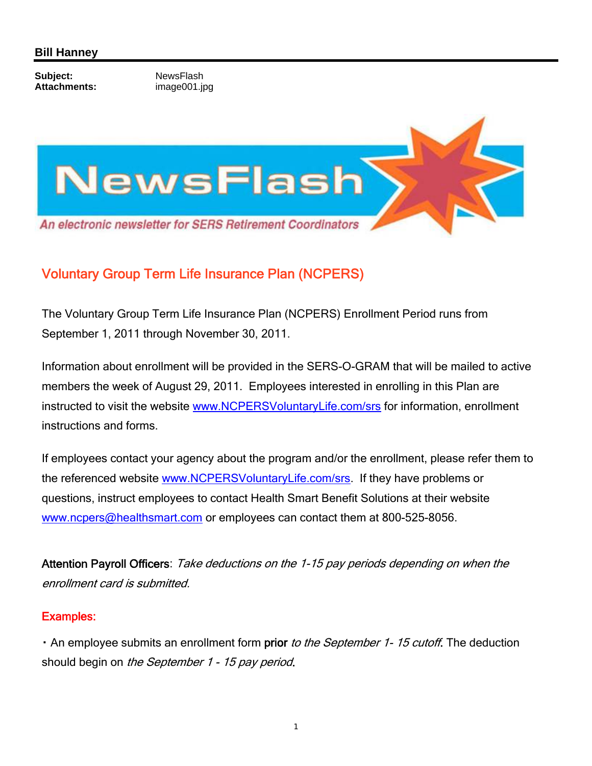## **Bill Hanney**

**Subject:** NewsFlash<br> **Attachments:** Mage001.ir

**Attachments:** image001.jpg



## Voluntary Group Term Life Insurance Plan (NCPERS)

The Voluntary Group Term Life Insurance Plan (NCPERS) Enrollment Period runs from September 1, 2011 through November 30, 2011.

Information about enrollment will be provided in the SERS-O-GRAM that will be mailed to active members the week of August 29, 2011. Employees interested in enrolling in this Plan are instructed to visit the website www.NCPERSVoluntaryLife.com/srs for information, enrollment instructions and forms.

If employees contact your agency about the program and/or the enrollment, please refer them to the referenced website www.NCPERSVoluntaryLife.com/srs. If they have problems or questions, instruct employees to contact Health Smart Benefit Solutions at their website www.ncpers@healthsmart.com or employees can contact them at 800-525-8056.

Attention Payroll Officers: Take deductions on the 1-15 pay periods depending on when the enrollment card is submitted.

## Examples:

• An employee submits an enrollment form prior to the September 1-15 cutoff. The deduction should begin on the September 1 - 15 pay period.